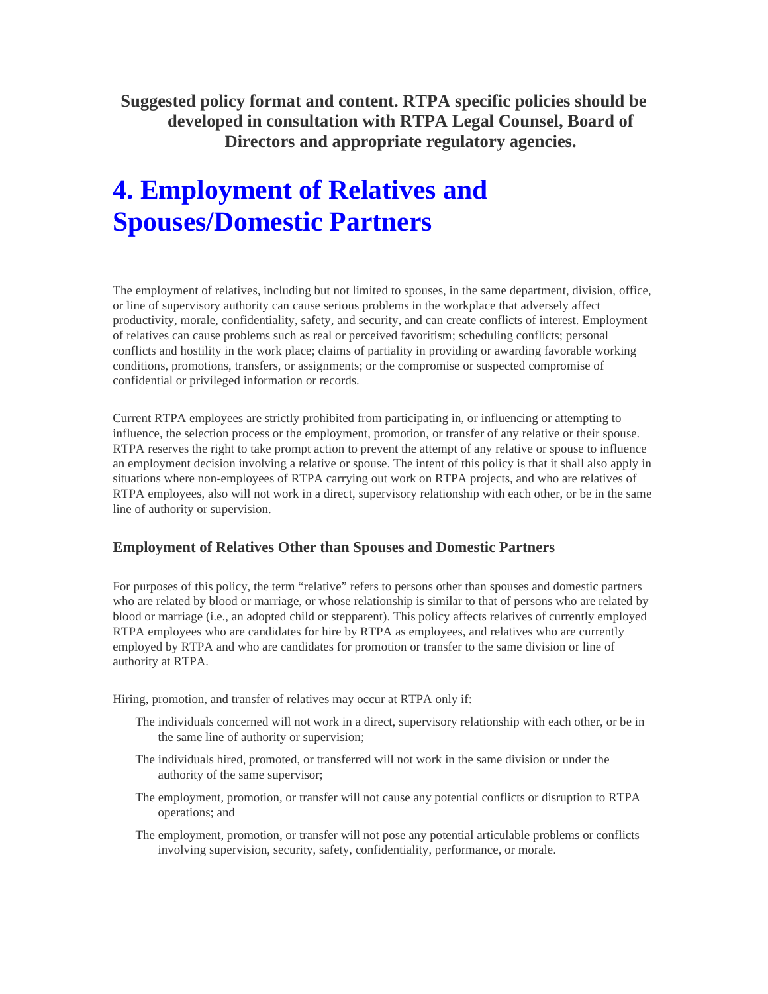**Suggested policy format and content. RTPA specific policies should be developed in consultation with RTPA Legal Counsel, Board of Directors and appropriate regulatory agencies.** 

## **4. Employment of Relatives and Spouses/Domestic Partners**

The employment of relatives, including but not limited to spouses, in the same department, division, office, or line of supervisory authority can cause serious problems in the workplace that adversely affect productivity, morale, confidentiality, safety, and security, and can create conflicts of interest. Employment of relatives can cause problems such as real or perceived favoritism; scheduling conflicts; personal conflicts and hostility in the work place; claims of partiality in providing or awarding favorable working conditions, promotions, transfers, or assignments; or the compromise or suspected compromise of confidential or privileged information or records.

Current RTPA employees are strictly prohibited from participating in, or influencing or attempting to influence, the selection process or the employment, promotion, or transfer of any relative or their spouse. RTPA reserves the right to take prompt action to prevent the attempt of any relative or spouse to influence an employment decision involving a relative or spouse. The intent of this policy is that it shall also apply in situations where non-employees of RTPA carrying out work on RTPA projects, and who are relatives of RTPA employees, also will not work in a direct, supervisory relationship with each other, or be in the same line of authority or supervision.

## **Employment of Relatives Other than Spouses and Domestic Partners**

For purposes of this policy, the term "relative" refers to persons other than spouses and domestic partners who are related by blood or marriage, or whose relationship is similar to that of persons who are related by blood or marriage (i.e., an adopted child or stepparent). This policy affects relatives of currently employed RTPA employees who are candidates for hire by RTPA as employees, and relatives who are currently employed by RTPA and who are candidates for promotion or transfer to the same division or line of authority at RTPA.

Hiring, promotion, and transfer of relatives may occur at RTPA only if:

- The individuals concerned will not work in a direct, supervisory relationship with each other, or be in the same line of authority or supervision;
- The individuals hired, promoted, or transferred will not work in the same division or under the authority of the same supervisor;
- The employment, promotion, or transfer will not cause any potential conflicts or disruption to RTPA operations; and
- The employment, promotion, or transfer will not pose any potential articulable problems or conflicts involving supervision, security, safety, confidentiality, performance, or morale.